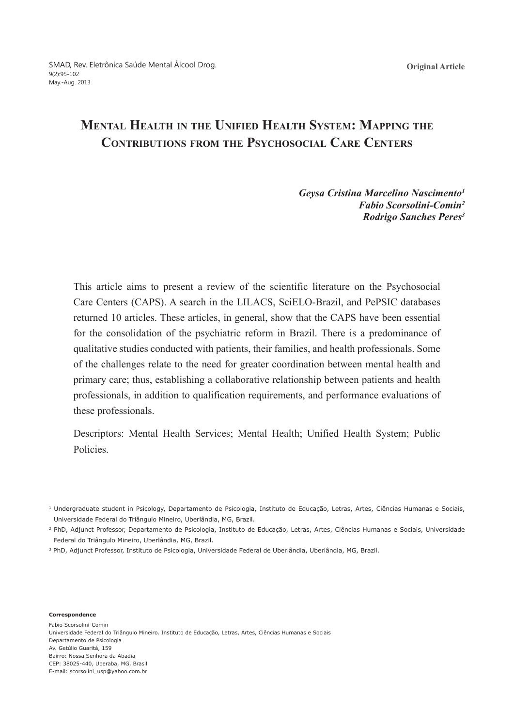# **Mental Health in the Unified Health System: Mapping the Contributions from the Psychosocial Care Centers**

### *Geysa Cristina Marcelino Nascimento1 Fabio Scorsolini-Comin2 Rodrigo Sanches Peres3*

This article aims to present a review of the scientific literature on the Psychosocial Care Centers (CAPS). A search in the LILACS, SciELO-Brazil, and PePSIC databases returned 10 articles. These articles, in general, show that the CAPS have been essential for the consolidation of the psychiatric reform in Brazil. There is a predominance of qualitative studies conducted with patients, their families, and health professionals. Some of the challenges relate to the need for greater coordination between mental health and primary care; thus, establishing a collaborative relationship between patients and health professionals, in addition to qualification requirements, and performance evaluations of these professionals.

Descriptors: Mental Health Services; Mental Health; Unified Health System; Public **Policies** 

<sup>2</sup> PhD, Adjunct Professor, Departamento de Psicologia, Instituto de Educação, Letras, Artes, Ciências Humanas e Sociais, Universidade Federal do Triângulo Mineiro, Uberlândia, MG, Brazil.

3 PhD, Adjunct Professor, Instituto de Psicologia, Universidade Federal de Uberlândia, Uberlândia, MG, Brazil.

**Correspondence**

Fabio Scorsolini-Comin Universidade Federal do Triângulo Mineiro. Instituto de Educação, Letras, Artes, Ciências Humanas e Sociais Departamento de Psicologia Av. Getúlio Guaritá, 159 Bairro: Nossa Senhora da Abadia CEP: 38025-440, Uberaba, MG, Brasil E-mail: scorsolini\_usp@yahoo.com.br

<sup>&</sup>lt;sup>1</sup> Undergraduate student in Psicology, Departamento de Psicologia, Instituto de Educação, Letras, Artes, Ciências Humanas e Sociais, Universidade Federal do Triângulo Mineiro, Uberlândia, MG, Brazil.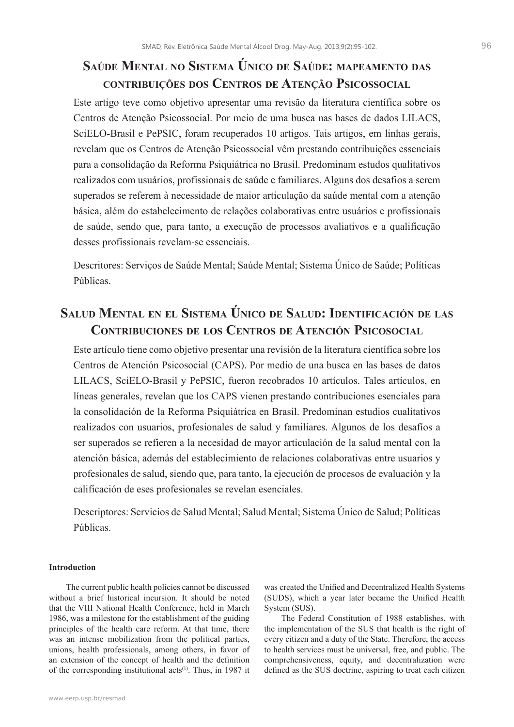### **Saúde Mental no Sistema Único de Saúde: mapeamento das contribuições dos Centros de Atenção Psicossocial**

Este artigo teve como objetivo apresentar uma revisão da literatura científica sobre os Centros de Atenção Psicossocial. Por meio de uma busca nas bases de dados LILACS, SciELO-Brasil e PePSIC, foram recuperados 10 artigos. Tais artigos, em linhas gerais, revelam que os Centros de Atenção Psicossocial vêm prestando contribuições essenciais para a consolidação da Reforma Psiquiátrica no Brasil. Predominam estudos qualitativos realizados com usuários, profissionais de saúde e familiares. Alguns dos desafios a serem superados se referem à necessidade de maior articulação da saúde mental com a atenção básica, além do estabelecimento de relações colaborativas entre usuários e profissionais de saúde, sendo que, para tanto, a execução de processos avaliativos e a qualificação desses profissionais revelam-se essenciais.

Descritores: Serviços de Saúde Mental; Saúde Mental; Sistema Único de Saúde; Políticas Públicas.

## **Salud Mental en el Sistema Único de Salud: Identificación de las Contribuciones de los Centros de Atención Psicosocial**

Este artículo tiene como objetivo presentar una revisión de la literatura científica sobre los Centros de Atención Psicosocial (CAPS). Por medio de una busca en las bases de datos LILACS, SciELO-Brasil y PePSIC, fueron recobrados 10 artículos. Tales artículos, en líneas generales, revelan que los CAPS vienen prestando contribuciones esenciales para la consolidación de la Reforma Psiquiátrica en Brasil. Predominan estudios cualitativos realizados con usuarios, profesionales de salud y familiares. Algunos de los desafíos a ser superados se refieren a la necesidad de mayor articulación de la salud mental con la atención básica, además del establecimiento de relaciones colaborativas entre usuarios y profesionales de salud, siendo que, para tanto, la ejecución de procesos de evaluación y la calificación de eses profesionales se revelan esenciales.

Descriptores: Servicios de Salud Mental; Salud Mental; Sistema Único de Salud; Políticas Públicas.

#### **Introduction**

The current public health policies cannot be discussed without a brief historical incursion. It should be noted that the VIII National Health Conference, held in March 1986, was a milestone for the establishment of the guiding principles of the health care reform. At that time, there was an intense mobilization from the political parties, unions, health professionals, among others, in favor of an extension of the concept of health and the definition of the corresponding institutional acts<sup>(1)</sup>. Thus, in 1987 it was created the Unified and Decentralized Health Systems (SUDS), which a year later became the Unified Health System (SUS).

The Federal Constitution of 1988 establishes, with the implementation of the SUS that health is the right of every citizen and a duty of the State. Therefore, the access to health services must be universal, free, and public. The comprehensiveness, equity, and decentralization were defined as the SUS doctrine, aspiring to treat each citizen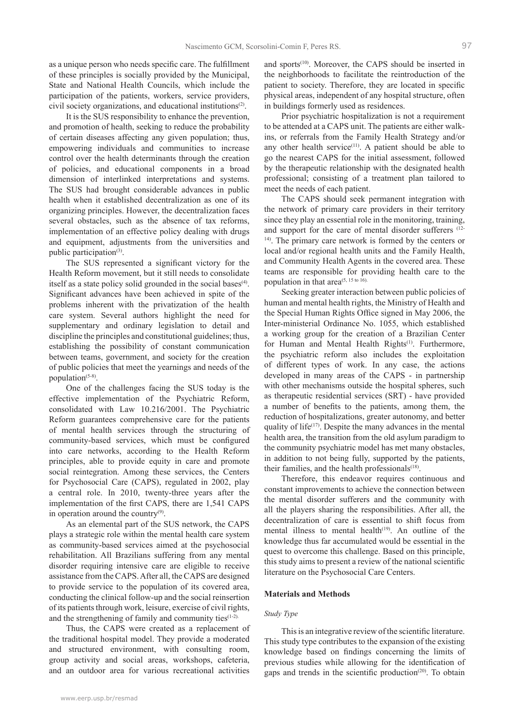as a unique person who needs specific care. The fulfillment of these principles is socially provided by the Municipal, State and National Health Councils, which include the participation of the patients, workers, service providers, civil society organizations, and educational institutions(2).

It is the SUS responsibility to enhance the prevention, and promotion of health, seeking to reduce the probability of certain diseases affecting any given population; thus, empowering individuals and communities to increase control over the health determinants through the creation of policies, and educational components in a broad dimension of interlinked interpretations and systems. The SUS had brought considerable advances in public health when it established decentralization as one of its organizing principles. However, the decentralization faces several obstacles, such as the absence of tax reforms, implementation of an effective policy dealing with drugs and equipment, adjustments from the universities and public participation $(3)$ .

The SUS represented a significant victory for the Health Reform movement, but it still needs to consolidate itself as a state policy solid grounded in the social bases<sup>(4)</sup>. Significant advances have been achieved in spite of the problems inherent with the privatization of the health care system. Several authors highlight the need for supplementary and ordinary legislation to detail and discipline the principles and constitutional guidelines; thus, establishing the possibility of constant communication between teams, government, and society for the creation of public policies that meet the yearnings and needs of the population(5-8).

One of the challenges facing the SUS today is the effective implementation of the Psychiatric Reform, consolidated with Law 10.216/2001. The Psychiatric Reform guarantees comprehensive care for the patients of mental health services through the structuring of community-based services, which must be configured into care networks, according to the Health Reform principles, able to provide equity in care and promote social reintegration. Among these services, the Centers for Psychosocial Care (CAPS), regulated in 2002, play a central role. In 2010, twenty-three years after the implementation of the first CAPS, there are 1,541 CAPS in operation around the country<sup>(9)</sup>.

As an elemental part of the SUS network, the CAPS plays a strategic role within the mental health care system as community-based services aimed at the psychosocial rehabilitation. All Brazilians suffering from any mental disorder requiring intensive care are eligible to receive assistance from the CAPS. After all, the CAPS are designed to provide service to the population of its covered area, conducting the clinical follow-up and the social reinsertion of its patients through work, leisure, exercise of civil rights, and the strengthening of family and community ties(1-2).

Thus, the CAPS were created as a replacement of the traditional hospital model. They provide a moderated and structured environment, with consulting room, group activity and social areas, workshops, cafeteria, and an outdoor area for various recreational activities

Prior psychiatric hospitalization is not a requirement to be attended at a CAPS unit. The patients are either walkins, or referrals from the Family Health Strategy and/or any other health service $(11)$ . A patient should be able to go the nearest CAPS for the initial assessment, followed by the therapeutic relationship with the designated health professional; consisting of a treatment plan tailored to meet the needs of each patient.

The CAPS should seek permanent integration with the network of primary care providers in their territory since they play an essential role in the monitoring, training, and support for the care of mental disorder sufferers (12-14). The primary care network is formed by the centers or local and/or regional health units and the Family Health, and Community Health Agents in the covered area. These teams are responsible for providing health care to the population in that area<sup> $(5, 15 \text{ to } 16)$ .</sup>

Seeking greater interaction between public policies of human and mental health rights, the Ministry of Health and the Special Human Rights Office signed in May 2006, the Inter-ministerial Ordinance No. 1055, which established a working group for the creation of a Brazilian Center for Human and Mental Health Rights<sup>(1)</sup>. Furthermore, the psychiatric reform also includes the exploitation of different types of work. In any case, the actions developed in many areas of the CAPS - in partnership with other mechanisms outside the hospital spheres, such as therapeutic residential services (SRT) - have provided a number of benefits to the patients, among them, the reduction of hospitalizations, greater autonomy, and better quality of life $(17)$ . Despite the many advances in the mental health area, the transition from the old asylum paradigm to the community psychiatric model has met many obstacles, in addition to not being fully, supported by the patients, their families, and the health professionals<sup>(18)</sup>.

Therefore, this endeavor requires continuous and constant improvements to achieve the connection between the mental disorder sufferers and the community with all the players sharing the responsibilities. After all, the decentralization of care is essential to shift focus from mental illness to mental health<sup> $(19)$ </sup>. An outline of the knowledge thus far accumulated would be essential in the quest to overcome this challenge. Based on this principle, this study aims to present a review of the national scientific literature on the Psychosocial Care Centers.

#### **Materials and Methods**

#### *Study Type*

This is an integrative review of the scientific literature. This study type contributes to the expansion of the existing knowledge based on findings concerning the limits of previous studies while allowing for the identification of gaps and trends in the scientific production<sup> $(20)$ </sup>. To obtain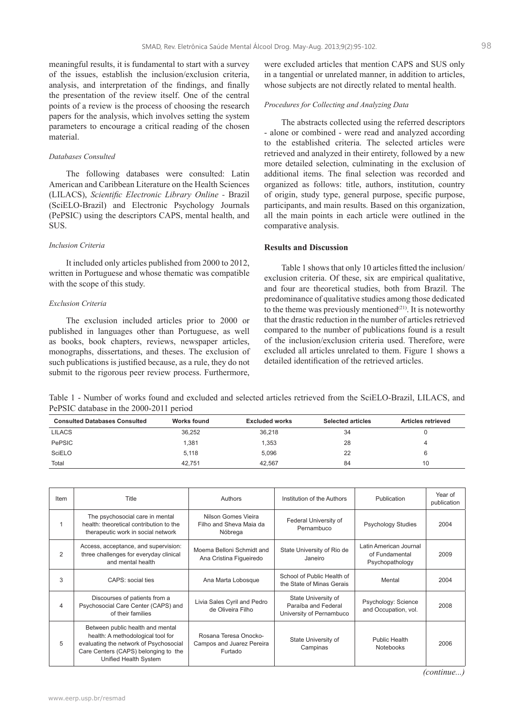meaningful results, it is fundamental to start with a survey of the issues, establish the inclusion/exclusion criteria, analysis, and interpretation of the findings, and finally the presentation of the review itself. One of the central points of a review is the process of choosing the research papers for the analysis, which involves setting the system parameters to encourage a critical reading of the chosen material.

#### *Databases Consulted*

The following databases were consulted: Latin American and Caribbean Literature on the Health Sciences (LILACS), *Scientific Electronic Library Online -* Brazil (SciELO-Brazil) and Electronic Psychology Journals (PePSIC) using the descriptors CAPS, mental health, and SUS.

#### *Inclusion Criteria*

It included only articles published from 2000 to 2012, written in Portuguese and whose thematic was compatible with the scope of this study.

#### *Exclusion Criteria*

The exclusion included articles prior to 2000 or published in languages other than Portuguese, as well as books, book chapters, reviews, newspaper articles, monographs, dissertations, and theses. The exclusion of such publications is justified because, as a rule, they do not submit to the rigorous peer review process. Furthermore,

were excluded articles that mention CAPS and SUS only in a tangential or unrelated manner, in addition to articles, whose subjects are not directly related to mental health.

#### *Procedures for Collecting and Analyzing Data*

The abstracts collected using the referred descriptors - alone or combined - were read and analyzed according to the established criteria. The selected articles were retrieved and analyzed in their entirety, followed by a new more detailed selection, culminating in the exclusion of additional items. The final selection was recorded and organized as follows: title, authors, institution, country of origin, study type, general purpose, specific purpose, participants, and main results. Based on this organization, all the main points in each article were outlined in the comparative analysis.

#### **Results and Discussion**

Table 1 shows that only 10 articles fitted the inclusion/ exclusion criteria. Of these, six are empirical qualitative, and four are theoretical studies, both from Brazil. The predominance of qualitative studies among those dedicated to the theme was previously mentioned $(21)$ . It is noteworthy that the drastic reduction in the number of articles retrieved compared to the number of publications found is a result of the inclusion/exclusion criteria used. Therefore, were excluded all articles unrelated to them. Figure 1 shows a detailed identification of the retrieved articles.

Table 1 - Number of works found and excluded and selected articles retrieved from the SciELO-Brazil, LILACS, and PePSIC database in the 2000-2011 period

| <b>Consulted Databases Consulted</b> | Works found | Excluded works | <b>Selected articles</b> | <b>Articles retrieved</b> |
|--------------------------------------|-------------|----------------|--------------------------|---------------------------|
| <b>LILACS</b>                        | 36,252      | 36,218         | 34                       |                           |
| <b>PePSIC</b>                        | 1.381       | 1,353          | 28                       | 4                         |
| SciELO                               | 5,118       | 5.096          | 22                       |                           |
| Total                                | 42.751      | 42.567         | 84                       | 10                        |

| Item           | Title                                                                                                                                                                            | Authors                                                       | Institution of the Authors                                             | Publication                                                 | Year of<br>publication |
|----------------|----------------------------------------------------------------------------------------------------------------------------------------------------------------------------------|---------------------------------------------------------------|------------------------------------------------------------------------|-------------------------------------------------------------|------------------------|
| 1              | The psychosocial care in mental<br>health: theoretical contribution to the<br>therapeutic work in social network                                                                 | Nilson Gomes Vieira<br>Filho and Sheva Maia da<br>Nóbrega     | Federal University of<br>Pernambuco                                    | <b>Psychology Studies</b>                                   | 2004                   |
| 2              | Access, acceptance, and supervision:<br>three challenges for everyday clinical<br>and mental health                                                                              | Moema Belloni Schmidt and<br>Ana Cristina Figueiredo          | State University of Rio de<br>Janeiro                                  | Latin American Journal<br>of Fundamental<br>Psychopathology | 2009                   |
| 3              | CAPS: social ties                                                                                                                                                                | Ana Marta Lobosque                                            | School of Public Health of<br>the State of Minas Gerais                | Mental                                                      | 2004                   |
| $\overline{4}$ | Discourses of patients from a<br>Psychosocial Care Center (CAPS) and<br>of their families                                                                                        | Livia Sales Cyril and Pedro<br>de Oliveira Filho              | State University of<br>Paraíba and Federal<br>University of Pernambuco | Psychology: Science<br>and Occupation, vol.                 | 2008                   |
| 5              | Between public health and mental<br>health: A methodological tool for<br>evaluating the network of Psychosocial<br>Care Centers (CAPS) belonging to the<br>Unified Health System | Rosana Teresa Onocko-<br>Campos and Juarez Pereira<br>Furtado | State University of<br>Campinas                                        | Public Health<br>Notebooks                                  | 2006                   |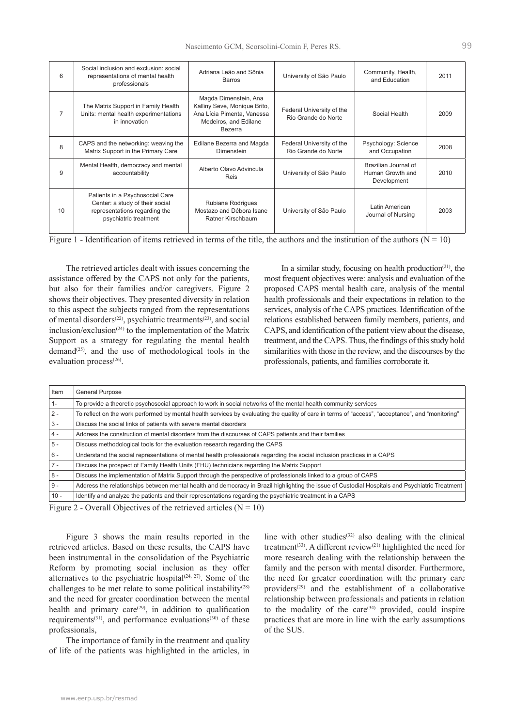| 6            | Social inclusion and exclusion: social<br>representations of mental health<br>professionals                                  | Adriana Leão and Sônia<br>Barros                                                                                        | University of São Paulo                          | Community, Health,<br>and Education                     | 2011 |
|--------------|------------------------------------------------------------------------------------------------------------------------------|-------------------------------------------------------------------------------------------------------------------------|--------------------------------------------------|---------------------------------------------------------|------|
|              | The Matrix Support in Family Health<br>Units: mental health experimentations<br>in innovation                                | Magda Dimenstein, Ana<br>Kalliny Seve, Monique Brito,<br>Ana Lícia Pimenta, Vanessa<br>Medeiros, and Edilane<br>Bezerra | Federal University of the<br>Rio Grande do Norte | Social Health                                           | 2009 |
| $\mathbf{8}$ | CAPS and the networking: weaving the<br>Matrix Support in the Primary Care                                                   | Edilane Bezerra and Magda<br><b>Dimenstein</b>                                                                          | Federal University of the<br>Rio Grande do Norte | Psychology: Science<br>and Occupation                   | 2008 |
| 9            | Mental Health, democracy and mental<br>accountability                                                                        | Alberto Olavo Advincula<br><b>Reis</b>                                                                                  | University of São Paulo                          | Brazilian Journal of<br>Human Growth and<br>Development | 2010 |
| 10           | Patients in a Psychosocial Care<br>Center: a study of their social<br>representations regarding the<br>psychiatric treatment | Rubiane Rodrigues<br>Mostazo and Débora Isane<br>Ratner Kirschbaum                                                      | University of São Paulo                          | Latin American<br>Journal of Nursing                    | 2003 |

| Figure 1 - Identification of items retrieved in terms of the title, the authors and the institution of the authors ( $N = 10$ ) |  |
|---------------------------------------------------------------------------------------------------------------------------------|--|
|                                                                                                                                 |  |

The retrieved articles dealt with issues concerning the assistance offered by the CAPS not only for the patients, but also for their families and/or caregivers. Figure 2 shows their objectives. They presented diversity in relation to this aspect the subjects ranged from the representations of mental disorders<sup>(22)</sup>, psychiatric treatments<sup>(23)</sup>, and social inclusion/exclusion<sup>(24)</sup> to the implementation of the Matrix Support as a strategy for regulating the mental health demand<sup>(25)</sup>, and the use of methodological tools in the evaluation process<sup>(26)</sup>.

In a similar study, focusing on health production $(21)$ , the most frequent objectives were: analysis and evaluation of the proposed CAPS mental health care, analysis of the mental health professionals and their expectations in relation to the services, analysis of the CAPS practices. Identification of the relations established between family members, patients, and CAPS, and identification of the patient view about the disease, treatment, and the CAPS. Thus, the findings of this study hold similarities with those in the review, and the discourses by the professionals, patients, and families corroborate it.

| Item   | <b>General Purpose</b>                                                                                                                            |
|--------|---------------------------------------------------------------------------------------------------------------------------------------------------|
| $1 -$  | To provide a theoretic psychosocial approach to work in social networks of the mental health community services                                   |
| $2 -$  | To reflect on the work performed by mental health services by evaluating the quality of care in terms of "access", "acceptance", and "monitoring" |
| $3 -$  | Discuss the social links of patients with severe mental disorders                                                                                 |
| $4 -$  | Address the construction of mental disorders from the discourses of CAPS patients and their families                                              |
| $5 -$  | Discuss methodological tools for the evaluation research regarding the CAPS                                                                       |
| $6 -$  | Understand the social representations of mental health professionals regarding the social inclusion practices in a CAPS                           |
| $7 -$  | Discuss the prospect of Family Health Units (FHU) technicians regarding the Matrix Support                                                        |
| $8 -$  | Discuss the implementation of Matrix Support through the perspective of professionals linked to a group of CAPS                                   |
| $9 -$  | Address the relationships between mental health and democracy in Brazil highlighting the issue of Custodial Hospitals and Psychiatric Treatment   |
| $10 -$ | Identify and analyze the patients and their representations regarding the psychiatric treatment in a CAPS                                         |

Figure 2 - Overall Objectives of the retrieved articles ( $N = 10$ )

Figure 3 shows the main results reported in the retrieved articles. Based on these results, the CAPS have been instrumental in the consolidation of the Psychiatric Reform by promoting social inclusion as they offer alternatives to the psychiatric hospital<sup> $(24, 27)$ </sup>. Some of the challenges to be met relate to some political instability<sup> $(28)$ </sup> and the need for greater coordination between the mental health and primary care $(29)$ , in addition to qualification requirements<sup>(31)</sup>, and performance evaluations<sup>(30)</sup> of these professionals,

The importance of family in the treatment and quality of life of the patients was highlighted in the articles, in line with other studies $(32)$  also dealing with the clinical treatment<sup>(33)</sup>. A different review<sup>(21)</sup> highlighted the need for more research dealing with the relationship between the family and the person with mental disorder. Furthermore, the need for greater coordination with the primary care providers<sup> $(29)$ </sup> and the establishment of a collaborative relationship between professionals and patients in relation to the modality of the care<sup>(34)</sup> provided, could inspire practices that are more in line with the early assumptions of the SUS.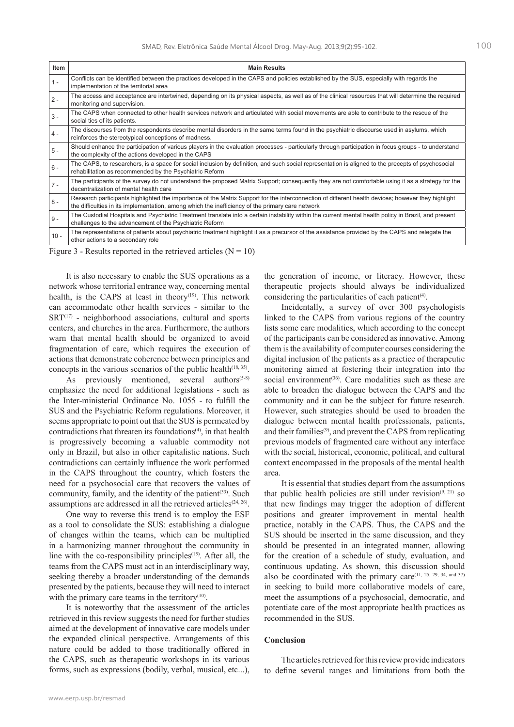| Item   | <b>Main Results</b>                                                                                                                                                                                                                                    |
|--------|--------------------------------------------------------------------------------------------------------------------------------------------------------------------------------------------------------------------------------------------------------|
| $1 -$  | Conflicts can be identified between the practices developed in the CAPS and policies established by the SUS, especially with regards the<br>implementation of the territorial area                                                                     |
| $2 -$  | The access and acceptance are intertwined, depending on its physical aspects, as well as of the clinical resources that will determine the required<br>monitoring and supervision.                                                                     |
| $3 -$  | The CAPS when connected to other health services network and articulated with social movements are able to contribute to the rescue of the<br>social ties of its patients.                                                                             |
| $4 -$  | The discourses from the respondents describe mental disorders in the same terms found in the psychiatric discourse used in asylums, which<br>reinforces the stereotypical conceptions of madness.                                                      |
| $5 -$  | Should enhance the participation of various players in the evaluation processes - particularly through participation in focus groups - to understand<br>the complexity of the actions developed in the CAPS                                            |
| 6 -    | The CAPS, to researchers, is a space for social inclusion by definition, and such social representation is aligned to the precepts of psychosocial<br>rehabilitation as recommended by the Psychiatric Reform                                          |
| $7 -$  | The participants of the survey do not understand the proposed Matrix Support; consequently they are not comfortable using it as a strategy for the<br>decentralization of mental health care                                                           |
| $8 -$  | Research participants highlighted the importance of the Matrix Support for the interconnection of different health devices; however they highlight<br>the difficulties in its implementation, among which the inefficiency of the primary care network |
| $9 -$  | The Custodial Hospitals and Psychiatric Treatment translate into a certain instability within the current mental health policy in Brazil, and present<br>challenges to the advancement of the Psychiatric Reform                                       |
| $10 -$ | The representations of patients about psychiatric treatment highlight it as a precursor of the assistance provided by the CAPS and relegate the<br>other actions to a secondary role                                                                   |
|        | $F' = 2.5$ $F = 1$ $F = 1.5$ $F = 1.5$ $F = 1.6$                                                                                                                                                                                                       |

Figure 3 - Results reported in the retrieved articles  $(N = 10)$ 

It is also necessary to enable the SUS operations as a network whose territorial entrance way, concerning mental health, is the CAPS at least in theory<sup>(19)</sup>. This network can accommodate other health services - similar to the  $SRT^{(17)}$  - neighborhood associations, cultural and sports centers, and churches in the area. Furthermore, the authors warn that mental health should be organized to avoid fragmentation of care, which requires the execution of actions that demonstrate coherence between principles and concepts in the various scenarios of the public health<sup> $(18, 35)$ </sup>.

As previously mentioned, several authors $(5-8)$ emphasize the need for additional legislations - such as the Inter-ministerial Ordinance No. 1055 - to fulfill the SUS and the Psychiatric Reform regulations. Moreover, it seems appropriate to point out that the SUS is permeated by contradictions that threaten its foundations $(4)$ , in that health is progressively becoming a valuable commodity not only in Brazil, but also in other capitalistic nations. Such contradictions can certainly influence the work performed in the CAPS throughout the country, which fosters the need for a psychosocial care that recovers the values of community, family, and the identity of the patient<sup>(33)</sup>. Such assumptions are addressed in all the retrieved articles $(24, 26)$ .

One way to reverse this trend is to employ the ESF as a tool to consolidate the SUS: establishing a dialogue of changes within the teams, which can be multiplied in a harmonizing manner throughout the community in line with the co-responsibility principles $(15)$ . After all, the teams from the CAPS must act in an interdisciplinary way, seeking thereby a broader understanding of the demands presented by the patients, because they will need to interact with the primary care teams in the territory $(10)$ .

It is noteworthy that the assessment of the articles retrieved in this review suggests the need for further studies aimed at the development of innovative care models under the expanded clinical perspective. Arrangements of this nature could be added to those traditionally offered in the CAPS, such as therapeutic workshops in its various forms, such as expressions (bodily, verbal, musical, etc...), the generation of income, or literacy. However, these therapeutic projects should always be individualized considering the particularities of each patient<sup>(4)</sup>.

Incidentally, a survey of over 300 psychologists linked to the CAPS from various regions of the country lists some care modalities, which according to the concept of the participants can be considered as innovative. Among them is the availability of computer courses considering the digital inclusion of the patients as a practice of therapeutic monitoring aimed at fostering their integration into the social environment<sup>(36)</sup>. Care modalities such as these are able to broaden the dialogue between the CAPS and the community and it can be the subject for future research. However, such strategies should be used to broaden the dialogue between mental health professionals, patients, and their families(9), and prevent the CAPS from replicating previous models of fragmented care without any interface with the social, historical, economic, political, and cultural context encompassed in the proposals of the mental health area.

It is essential that studies depart from the assumptions that public health policies are still under revision $(9, 21)$  so that new findings may trigger the adoption of different positions and greater improvement in mental health practice, notably in the CAPS. Thus, the CAPS and the SUS should be inserted in the same discussion, and they should be presented in an integrated manner, allowing for the creation of a schedule of study, evaluation, and continuous updating. As shown, this discussion should also be coordinated with the primary care  $(11, 25, 29, 34, \text{ and } 37)$ in seeking to build more collaborative models of care, meet the assumptions of a psychosocial, democratic, and potentiate care of the most appropriate health practices as recommended in the SUS.

### **Conclusion**

The articles retrieved for this review provide indicators to define several ranges and limitations from both the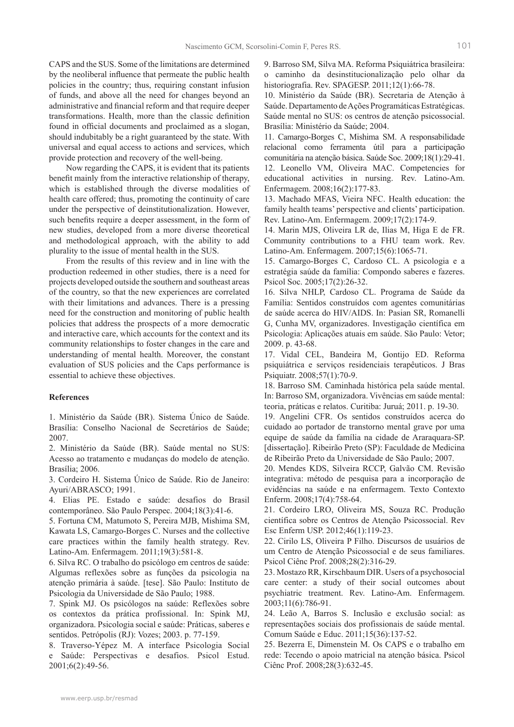CAPS and the SUS. Some of the limitations are determined by the neoliberal influence that permeate the public health policies in the country; thus, requiring constant infusion of funds, and above all the need for changes beyond an administrative and financial reform and that require deeper transformations. Health, more than the classic definition found in official documents and proclaimed as a slogan, should indubitably be a right guaranteed by the state. With universal and equal access to actions and services, which provide protection and recovery of the well-being.

Now regarding the CAPS, it is evident that its patients benefit mainly from the interactive relationship of therapy, which is established through the diverse modalities of health care offered; thus, promoting the continuity of care under the perspective of deinstitutionalization. However, such benefits require a deeper assessment, in the form of new studies, developed from a more diverse theoretical and methodological approach, with the ability to add plurality to the issue of mental health in the SUS.

From the results of this review and in line with the production redeemed in other studies, there is a need for projects developed outside the southern and southeast areas of the country, so that the new experiences are correlated with their limitations and advances. There is a pressing need for the construction and monitoring of public health policies that address the prospects of a more democratic and interactive care, which accounts for the context and its community relationships to foster changes in the care and understanding of mental health. Moreover, the constant evaluation of SUS policies and the Caps performance is essential to achieve these objectives.

#### **References**

1. Ministério da Saúde (BR). Sistema Único de Saúde. Brasília: Conselho Nacional de Secretários de Saúde; 2007.

2. Ministério da Saúde (BR). Saúde mental no SUS: Acesso ao tratamento e mudanças do modelo de atenção. Brasília; 2006.

3. Cordeiro H. Sistema Único de Saúde. Rio de Janeiro: Ayuri/ABRASCO; 1991.

4. Elias PE. Estado e saúde: desafios do Brasil contemporâneo. São Paulo Perspec. 2004;18(3):41-6.

5. Fortuna CM, Matumoto S, Pereira MJB, Mishima SM, Kawata LS, Camargo-Borges C. Nurses and the collective care practices within the family health strategy. Rev. Latino-Am. Enfermagem. 2011;19(3):581-8.

6. Silva RC. O trabalho do psicólogo em centros de saúde: Algumas reflexões sobre as funções da psicologia na atenção primária à saúde. [tese]. São Paulo: Instituto de Psicologia da Universidade de São Paulo; 1988.

7. Spink MJ. Os psicólogos na saúde: Reflexões sobre os contextos da prática profissional. In: Spink MJ, organizadora. Psicologia social e saúde: Práticas, saberes e sentidos. Petrópolis (RJ): Vozes; 2003. p. 77-159.

8. Traverso-Yépez M. A interface Psicologia Social e Saúde: Perspectivas e desafios. Psicol Estud. 2001;6(2):49-56.

9. Barroso SM, Silva MA. Reforma Psiquiátrica brasileira: o caminho da desinstitucionalização pelo olhar da historiografia. Rev. SPAGESP. 2011;12(1):66-78.

10. Ministério da Saúde (BR). Secretaria de Atenção à Saúde. Departamento de Ações Programáticas Estratégicas. Saúde mental no SUS: os centros de atenção psicossocial. Brasília: Ministério da Saúde; 2004.

11. Camargo-Borges C, Mishima SM. A responsabilidade relacional como ferramenta útil para a participação comunitária na atenção básica. Saúde Soc. 2009;18(1):29-41. 12. Leonello VM, Oliveira MAC. Competencies for educational activities in nursing. Rev. Latino-Am. Enfermagem. 2008;16(2):177-83.

13. Machado MFAS, Vieira NFC. Health education: the family health teams' perspective and clients' participation. Rev. Latino-Am. Enfermagem. 2009;17(2):174-9.

14. Marin MJS, Oliveira LR de, Ilias M, Higa E de FR. Community contributions to a FHU team work. Rev. Latino-Am. Enfermagem. 2007;15(6):1065-71.

15. Camargo-Borges C, Cardoso CL. A psicologia e a estratégia saúde da família: Compondo saberes e fazeres. Psicol Soc. 2005;17(2):26-32.

16. Silva NHLP, Cardoso CL. Programa de Saúde da Família: Sentidos construídos com agentes comunitárias de saúde acerca do HIV/AIDS. In: Pasian SR, Romanelli G, Cunha MV, organizadores. Investigação científica em Psicologia: Aplicações atuais em saúde. São Paulo: Vetor; 2009. p. 43-68.

17. Vidal CEL, Bandeira M, Gontijo ED. Reforma psiquiátrica e serviços residenciais terapêuticos. J Bras Psiquiatr. 2008;57(1):70-9.

18. Barroso SM. Caminhada histórica pela saúde mental. In: Barroso SM, organizadora. Vivências em saúde mental: teoria, práticas e relatos. Curitiba: Juruá; 2011. p. 19-30.

19. Angelini CFR. Os sentidos construídos acerca do cuidado ao portador de transtorno mental grave por uma equipe de saúde da família na cidade de Araraquara-SP. [dissertação]. Ribeirão Preto (SP): Faculdade de Medicina de Ribeirão Preto da Universidade de São Paulo; 2007.

20. Mendes KDS, Silveira RCCP, Galvão CM. Revisão integrativa: método de pesquisa para a incorporação de evidências na saúde e na enfermagem. Texto Contexto Enferm. 2008;17(4):758-64.

21. Cordeiro LRO, Oliveira MS, Souza RC. Produção científica sobre os Centros de Atenção Psicossocial. Rev Esc Enferm USP. 2012;46(1):119-23.

22. Cirilo LS, Oliveira P Filho. Discursos de usuários de um Centro de Atenção Psicossocial e de seus familiares. Psicol Ciênc Prof. 2008;28(2):316-29.

23. Mostazo RR, Kirschbaum DIR. Users of a psychosocial care center: a study of their social outcomes about psychiatric treatment. Rev. Latino-Am. Enfermagem. 2003;11(6):786-91.

24. Leão A, Barros S. Inclusão e exclusão social: as representações sociais dos profissionais de saúde mental. Comum Saúde e Educ. 2011;15(36):137-52.

25. Bezerra E, Dimenstein M. Os CAPS e o trabalho em rede: Tecendo o apoio matricial na atenção básica. Psicol Ciênc Prof. 2008;28(3):632-45.